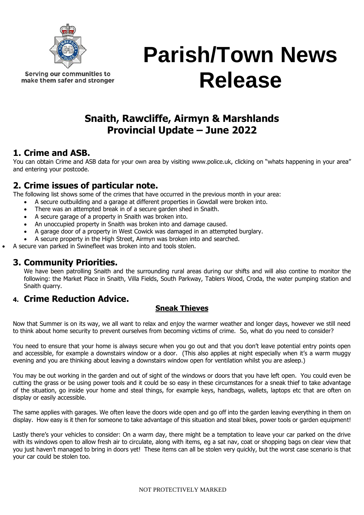

Serving our communities to make them safer and stronger

# **Parish/Town News Release**

## **Snaith, Rawcliffe, Airmyn & Marshlands Provincial Update – June 2022**

### **1. Crime and ASB.**

You can obtain Crime and ASB data for your own area by visiting [www.police.uk](http://www.police.uk/), clicking on "whats happening in your area" and entering your postcode.

## **2. Crime issues of particular note.**

The following list shows some of the crimes that have occurred in the previous month in your area:

- A secure outbuilding and a garage at different properties in Gowdall were broken into.
- There was an attempted break in of a secure garden shed in Snaith.
- A secure garage of a property in Snaith was broken into.
- An unoccupied property in Snaith was broken into and damage caused.
- A garage door of a property in West Cowick was damaged in an attempted burglary.
- A secure property in the High Street, Airmyn was broken into and searched.
- A secure van parked in Swinefleet was broken into and tools stolen.

### **3. Community Priorities.**

We have been patrolling Snaith and the surrounding rural areas during our shifts and will also contine to monitor the following: the Market Place in Snaith, Villa Fields, South Parkway, Tablers Wood, Croda, the water pumping station and Snaith quarry.

#### **4. Crime Reduction Advice.**

#### **Sneak Thieves**

Now that Summer is on its way, we all want to relax and enjoy the warmer weather and longer days, however we still need to think about home security to prevent ourselves from becoming victims of crime. So, what do you need to consider?

You need to ensure that your home is always secure when you go out and that you don't leave potential entry points open and accessible, for example a downstairs window or a door. (This also applies at night especially when it's a warm muggy evening and you are thinking about leaving a downstairs window open for ventilation whilst you are asleep.)

You may be out working in the garden and out of sight of the windows or doors that you have left open. You could even be cutting the grass or be using power tools and it could be so easy in these circumstances for a sneak thief to take advantage of the situation, go inside your home and steal things, for example keys, handbags, wallets, laptops etc that are often on display or easily accessible.

The same applies with garages. We often leave the doors wide open and go off into the garden leaving everything in them on display. How easy is it then for someone to take advantage of this situation and steal bikes, power tools or garden equipment!

Lastly there's your vehicles to consider: On a warm day, there might be a temptation to leave your car parked on the drive with its windows open to allow fresh air to circulate, along with items, eg a sat nav, coat or shopping bags on clear view that you just haven't managed to bring in doors yet! These items can all be stolen very quickly, but the worst case scenario is that your car could be stolen too.